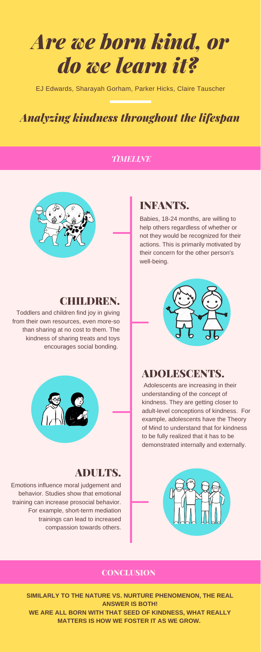# *Are we born kind, or do we learn it?*

EJ Edwards, Sharayah Gorham, Parker Hicks, Claire Tauscher

# *Analyzing kindness throughout the lifespan*

**SIMILARLY TO THE NATURE VS. NURTURE PHENOMENON, THE REAL ANSWER IS BOTH! WE ARE ALL BORN WITH THAT SEED OF KINDNESS, WHAT REALLY MATTERS IS HOW WE FOSTER IT AS WE GROW.**

## ADULTS.

Emotions influence moral judgement and behavior. Studies show that emotional training can increase prosocial behavior. For example, short-term mediation trainings can lead to increased compassion towards others. ADOLESCENTS.

Adolescents are increasing in their



#### understanding of the concept of kindness. They are getting closer to adult-level conceptions of kindness. For example, adolescents have the Theory of Mind to understand that for kindness to be fully realized that it has to be demonstrated internally and externally.



#### **CONCLUSION**

## INFANTS.

Babies, 18-24 months, are willing to help others regardless of whether or not they would be recognized for their actions. This is primarily motivated by their concern for the other person's well-being.



### CHILDREN.

Toddlers and children find joy in giving from their own resources, even more-so than sharing at no cost to them. The kindness of sharing treats and toys encourages social bonding.

#### *TIMELINE*